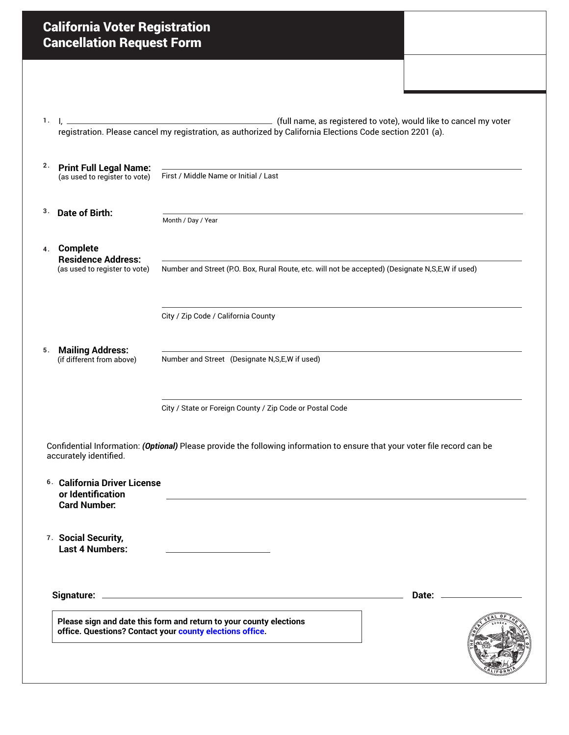| <b>California Voter Registration</b><br><b>Cancellation Request Form</b>            |                                                                                                                                                                                |  |
|-------------------------------------------------------------------------------------|--------------------------------------------------------------------------------------------------------------------------------------------------------------------------------|--|
|                                                                                     |                                                                                                                                                                                |  |
|                                                                                     |                                                                                                                                                                                |  |
|                                                                                     | (full name, as registered to vote), would like to cancel my voter<br>registration. Please cancel my registration, as authorized by California Elections Code section 2201 (a). |  |
|                                                                                     |                                                                                                                                                                                |  |
| <b>Print Full Legal Name:</b><br>(as used to register to vote)                      | First / Middle Name or Initial / Last                                                                                                                                          |  |
| <b>Date of Birth:</b>                                                               | Month / Day / Year                                                                                                                                                             |  |
| <b>Complete</b><br>4.<br><b>Residence Address:</b>                                  |                                                                                                                                                                                |  |
| (as used to register to vote)                                                       | Number and Street (P.O. Box, Rural Route, etc. will not be accepted) (Designate N,S,E,W if used)                                                                               |  |
|                                                                                     | City / Zip Code / California County                                                                                                                                            |  |
| <b>Mailing Address:</b><br>5.<br>(if different from above)                          | Number and Street (Designate N,S,E,W if used)                                                                                                                                  |  |
|                                                                                     | City / State or Foreign County / Zip Code or Postal Code                                                                                                                       |  |
| accurately identified.                                                              | Confidential Information: (Optional) Please provide the following information to ensure that your voter file record can be                                                     |  |
| <sup>6.</sup> California Driver License<br>or Identification<br><b>Card Number:</b> |                                                                                                                                                                                |  |
| 7. Social Security,<br><b>Last 4 Numbers:</b>                                       |                                                                                                                                                                                |  |
|                                                                                     |                                                                                                                                                                                |  |
|                                                                                     |                                                                                                                                                                                |  |
|                                                                                     | Please sign and date this form and return to your county elections                                                                                                             |  |
| office. Questions? Contact your county elections office.                            |                                                                                                                                                                                |  |